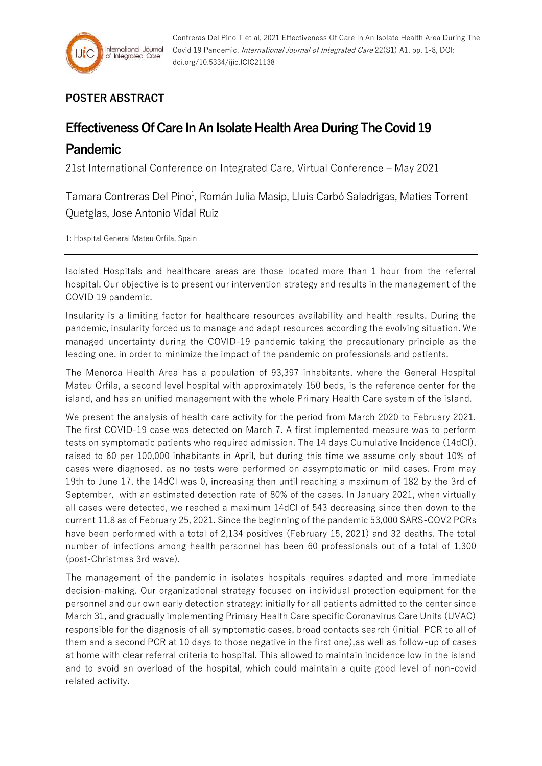## **POSTER ABSTRACT**

## **Effectiveness Of Care In An Isolate Health Area During The Covid 19**

## **Pandemic**

21st International Conference on Integrated Care, Virtual Conference – May 2021

Tamara Contreras Del Pino<sup>1</sup>, Román Julia Masip, Lluis Carbó Saladrigas, Maties Torrent Quetglas, Jose Antonio Vidal Ruiz

1: Hospital General Mateu Orfila, Spain

Isolated Hospitals and healthcare areas are those located more than 1 hour from the referral hospital. Our objective is to present our intervention strategy and results in the management of the COVID 19 pandemic.

Insularity is a limiting factor for healthcare resources availability and health results. During the pandemic, insularity forced us to manage and adapt resources according the evolving situation. We managed uncertainty during the COVID-19 pandemic taking the precautionary principle as the leading one, in order to minimize the impact of the pandemic on professionals and patients.

The Menorca Health Area has a population of 93,397 inhabitants, where the General Hospital Mateu Orfila, a second level hospital with approximately 150 beds, is the reference center for the island, and has an unified management with the whole Primary Health Care system of the island.

We present the analysis of health care activity for the period from March 2020 to February 2021. The first COVID-19 case was detected on March 7. A first implemented measure was to perform tests on symptomatic patients who required admission. The 14 days Cumulative Incidence (14dCI), raised to 60 per 100,000 inhabitants in April, but during this time we assume only about 10% of cases were diagnosed, as no tests were performed on assymptomatic or mild cases. From may 19th to June 17, the 14dCI was 0, increasing then until reaching a maximum of 182 by the 3rd of September, with an estimated detection rate of 80% of the cases. In January 2021, when virtually all cases were detected, we reached a maximum 14dCI of 543 decreasing since then down to the current 11.8 as of February 25, 2021. Since the beginning of the pandemic 53,000 SARS-COV2 PCRs have been performed with a total of 2,134 positives (February 15, 2021) and 32 deaths. The total number of infections among health personnel has been 60 professionals out of a total of 1,300 (post-Christmas 3rd wave).

The management of the pandemic in isolates hospitals requires adapted and more immediate decision-making. Our organizational strategy focused on individual protection equipment for the personnel and our own early detection strategy: initially for all patients admitted to the center since March 31, and gradually implementing Primary Health Care specific Coronavirus Care Units (UVAC) responsible for the diagnosis of all symptomatic cases, broad contacts search (initial PCR to all of them and a second PCR at 10 days to those negative in the first one),as well as follow-up of cases at home with clear referral criteria to hospital. This allowed to maintain incidence low in the island and to avoid an overload of the hospital, which could maintain a quite good level of non-covid related activity.